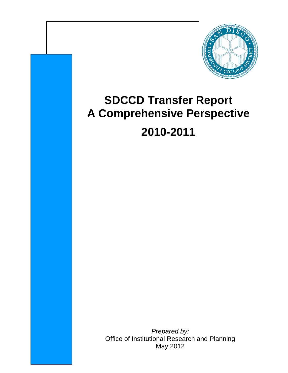

# **SDCCD Transfer Report A Comprehensive Perspective 2010-2011**

*Prepared by:*  Office of Institutional Research and Planning May 2012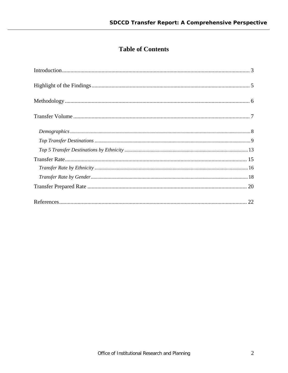# **Table of Contents**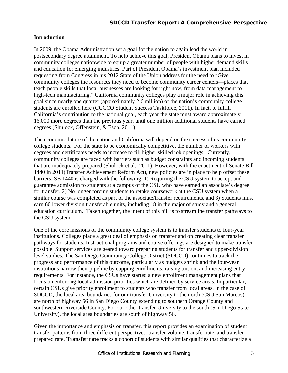## **Introduction**

In 2009, the Obama Administration set a goal for the nation to again lead the world in postsecondary degree attainment. To help achieve this goal, President Obama plans to invest in community colleges nationwide to equip a greater number of people with higher demand skills and education for emerging industries. Part of President Obama's investment plan included requesting from Congress in his 2012 State of the Union address for the need to "Give community colleges the resources they need to become community career centers—places that teach people skills that local businesses are looking for right now, from data management to high-tech manufacturing." California community colleges play a major role in achieving this goal since nearly one quarter (approximately 2.6 million) of the nation's community college students are enrolled here (CCCCO Student Success Taskforce, 2011). In fact, to fulfill California's contribution to the national goal, each year the state must award approximately 16,000 more degrees than the previous year, until one million additional students have earned degrees (Shulock, Offenstein, & Esch, 2011).

The economic future of the nation and California will depend on the success of its community college students. For the state to be economically competitive, the number of workers with degrees and certificates needs to increase to fill higher skilled job openings. Currently, community colleges are faced with barriers such as budget constraints and incoming students that are inadequately prepared (Shulock et al., 2011). However, with the enactment of Senate Bill 1440 in 2011(Transfer Achievement Reform Act), new policies are in place to help offset these barriers. SB 1440 is charged with the following: 1) Requiring the CSU system to accept and guarantee admission to students at a campus of the CSU who have earned an associate's degree for transfer, 2) No longer forcing students to retake coursework at the CSU system when a similar course was completed as part of the associate/transfer requirements, and 3) Students must earn 60 lower division transferable units, including 18 in the major of study and a general education curriculum. Taken together, the intent of this bill is to streamline transfer pathways to the CSU system.

One of the core missions of the community college system is to transfer students to four-year institutions. Colleges place a great deal of emphasis on transfer and on creating clear transfer pathways for students. Instructional programs and course offerings are designed to make transfer possible. Support services are geared toward preparing students for transfer and upper-division level studies. The San Diego Community College District (SDCCD) continues to track the progress and performance of this outcome, particularly as budgets shrink and the four-year institutions narrow their pipeline by capping enrollments, raising tuition, and increasing entry requirements. For instance, the CSUs have started a new enrollment management plans that focus on enforcing local admission priorities which are defined by service areas. In particular, certain CSUs give priority enrollment to students who transfer from local areas. In the case of SDCCD, the local area boundaries for our transfer University to the north (CSU San Marcos) are north of highway 56 in San Diego County extending to southern Orange County and southwestern Riverside County. For our other transfer University to the south (San Diego State University), the local area boundaries are south of highway 56.

Given the importance and emphasis on transfer, this report provides an examination of student transfer patterns from three different perspectives: transfer volume, transfer rate, and transfer prepared rate. **Transfer rate** tracks a cohort of students with similar qualities that characterize a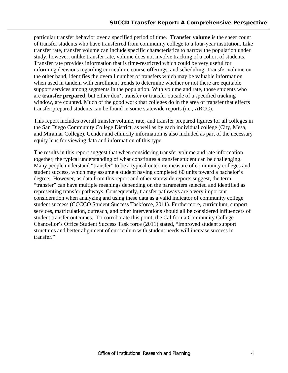particular transfer behavior over a specified period of time. **Transfer volume** is the sheer count of transfer students who have transferred from community college to a four-year institution. Like transfer rate, transfer volume can include specific characteristics to narrow the population under study, however, unlike transfer rate, volume does not involve tracking of a cohort of students. Transfer rate provides information that is time-restricted which could be very useful for informing decisions regarding curriculum, course offerings, and scheduling. Transfer volume on the other hand, identifies the overall number of transfers which may be valuable information when used in tandem with enrollment trends to determine whether or not there are equitable support services among segments in the population. With volume and rate, those students who are **transfer prepared**, but either don't transfer or transfer outside of a specified tracking window, are counted. Much of the good work that colleges do in the area of transfer that effects transfer prepared students can be found in some statewide reports (i.e., ARCC).

This report includes overall transfer volume, rate, and transfer prepared figures for all colleges in the San Diego Community College District, as well as by each individual college (City, Mesa, and Miramar College). Gender and ethnicity information is also included as part of the necessary equity lens for viewing data and information of this type.

The results in this report suggest that when considering transfer volume and rate information together, the typical understanding of what constitutes a transfer student can be challenging. Many people understand "transfer" to be a typical outcome measure of community colleges and student success, which may assume a student having completed 60 units toward a bachelor's degree. However, as data from this report and other statewide reports suggest, the term "transfer" can have multiple meanings depending on the parameters selected and identified as representing transfer pathways. Consequently, transfer pathways are a very important consideration when analyzing and using these data as a valid indicator of community college student success (CCCCO Student Success Taskforce, 2011). Furthermore, curriculum, support services, matriculation, outreach, and other interventions should all be considered influencers of student transfer outcomes. To corroborate this point, the California Community College Chancellor's Office Student Success Task force (2011) stated, "Improved student support structures and better alignment of curriculum with student needs will increase success in transfer."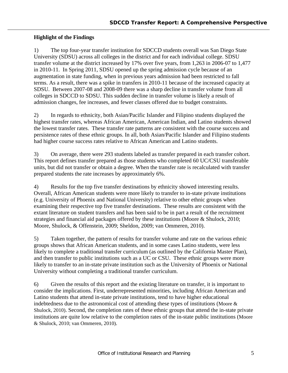## **Highlight of the Findings**

1) The top four-year transfer institution for SDCCD students overall was San Diego State University (SDSU) across all colleges in the district and for each individual college. SDSU transfer volume at the district increased by 17% over five years, from 1,263 in 2006-07 to 1,477 in 2010-11. In Spring 2011, SDSU opened up the spring admission cycle because of an augmentation in state funding, when in previous years admission had been restricted to fall terms. As a result, there was a spike in transfers in 2010-11 because of the increased capacity at SDSU. Between 2007-08 and 2008-09 there was a sharp decline in transfer volume from all colleges in SDCCD to SDSU. This sudden decline in transfer volume is likely a result of admission changes, fee increases, and fewer classes offered due to budget constraints.

2) In regards to ethnicity, both Asian/Pacific Islander and Filipino students displayed the highest transfer rates, whereas African American, American Indian, and Latino students showed the lowest transfer rates. These transfer rate patterns are consistent with the course success and persistence rates of these ethnic groups. In all, both Asian/Pacific Islander and Filipino students had higher course success rates relative to African American and Latino students.

3) On average, there were 293 students labeled as transfer prepared in each transfer cohort. This report defines transfer prepared as those students who completed 60 UC/CSU transferable units, but did not transfer or obtain a degree. When the transfer rate is recalculated with transfer prepared students the rate increases by approximately 6%.

4) Results for the top five transfer destinations by ethnicity showed interesting results. Overall, African American students were more likely to transfer to in-state private institutions (e.g. University of Phoenix and National University) relative to other ethnic groups when examining their respective top five transfer destinations. These results are consistent with the extant literature on student transfers and has been said to be in part a result of the recruitment strategies and financial aid packages offered by these institutions (Moore & Shulock, 2010; Moore, Shulock, & Offenstein, 2009; Sheldon, 2009; van Ommeren, 2010).

5) Taken together, the pattern of results for transfer volume and rate on the various ethnic groups shows that African American students, and in some cases Latino students, were less likely to complete a traditional transfer curriculum (as outlined by the California Master Plan), and then transfer to public institutions such as a UC or CSU. These ethnic groups were more likely to transfer to an in-state private institution such as the University of Phoenix or National University without completing a traditional transfer curriculum.

6) Given the results of this report and the existing literature on transfer, it is important to consider the implications. First, underrepresented minorities, including African American and Latino students that attend in-state private institutions, tend to have higher educational indebtedness due to the astronomical cost of attending these types of institutions (Moore & Shulock, 2010). Second, the completion rates of these ethnic groups that attend the in-state private institutions are quite low relative to the completion rates of the in-state public institutions (Moore & Shulock, 2010; van Ommeren, 2010).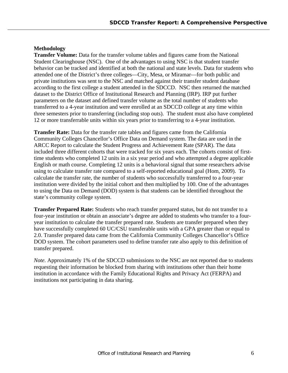## **Methodology**

**Transfer Volume:** Data for the transfer volume tables and figures came from the National Student Clearinghouse (NSC). One of the advantages to using NSC is that student transfer behavior can be tracked and identified at both the national and state levels. Data for students who attended one of the District's three colleges—City, Mesa, or Miramar—for both public and private institutions was sent to the NSC and matched against their transfer student database according to the first college a student attended in the SDCCD. NSC then returned the matched dataset to the District Office of Institutional Research and Planning (IRP). IRP put further parameters on the dataset and defined transfer volume as the total number of students who transferred to a 4-year institution and were enrolled at an SDCCD college at any time within three semesters prior to transferring (including stop outs). The student must also have completed 12 or more transferrable units within six years prior to transferring to a 4-year institution.

**Transfer Rate:** Data for the transfer rate tables and figures came from the California Community Colleges Chancellor's Office Data on Demand system. The data are used in the ARCC Report to calculate the Student Progress and Achievement Rate (SPAR). The data included three different cohorts that were tracked for six years each. The cohorts consist of firsttime students who completed 12 units in a six year period and who attempted a degree applicable English or math course. Completing 12 units is a behavioral signal that some researchers advise using to calculate transfer rate compared to a self-reported educational goal (Hom, 2009). To calculate the transfer rate, the number of students who successfully transferred to a four-year institution were divided by the initial cohort and then multiplied by 100. One of the advantages to using the Data on Demand (DOD) system is that students can be identified throughout the state's community college system.

**Transfer Prepared Rate:** Students who reach transfer prepared status, but do not transfer to a four-year institution or obtain an associate's degree are added to students who transfer to a fouryear institution to calculate the transfer prepared rate. Students are transfer prepared when they have successfully completed 60 UC/CSU transferable units with a GPA greater than or equal to 2.0. Transfer prepared data came from the California Community Colleges Chancellor's Office DOD system. The cohort parameters used to define transfer rate also apply to this definition of transfer prepared.

*Note.* Approximately 1% of the SDCCD submissions to the NSC are not reported due to students requesting their information be blocked from sharing with institutions other than their home institution in accordance with the Family Educational Rights and Privacy Act (FERPA) and institutions not participating in data sharing.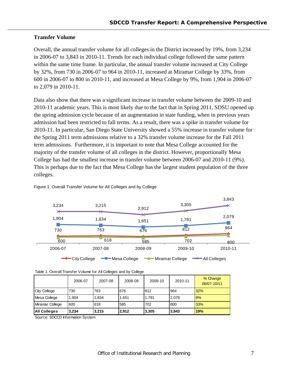## **Transfer Volume**

Overall, the annual transfer volume for all colleges in the District increased by 19%, from 3,234 in 2006-07 to 3,843 in 2010-11. Trends for each individual college followed the same pattern within the same time frame. In particular, the annual transfer volume increased at City College by 32%, from 730 in 2006-07 to 964 in 2010-11, increased at Miramar College by 33%, from 600 in 2006-07 to 800 in 2010-11, and increased at Mesa College by 9%, from 1,904 in 2006-07 to 2,079 in 2010-11.

Data also show that there was a significant increase in transfer volume between the 2009-10 and 2010-11 academic years. This is most likely due to the fact that in Spring 2011, SDSU opened up the spring admission cycle because of an augmentation in state funding, when in previous years admission had been restricted to fall terms. As a result, there was a spike in transfer volume for 2010-11. In particular, San Diego State University showed a 55% increase in transfer volume for the Spring 2011 term admissions relative to a 32% transfer volume increase for the Fall 2011 term admissions. Furthermore, it is important to note that Mesa College accounted for the majority of the transfer volume of all colleges in the district. However, proportionally Mesa College has had the smallest increase in transfer volume between 2006-07 and 2010-11 (9%). This is perhaps due to the fact that Mesa College has the largest student population of the three colleges.



Figure 1. Overall Transfer Volume for All Colleges and by College

|  |  | Table 1. Overall Transfer Volume for All Colleges and by College |  |
|--|--|------------------------------------------------------------------|--|
|  |  |                                                                  |  |

|                 | 2006-07 | 2007-08 | 2008-09 | 2009-10 | 2010-11 | % Change<br>06/07-10/11 |
|-----------------|---------|---------|---------|---------|---------|-------------------------|
| City College    | 730     | 763     | 676     | 812     | 964     | 32%                     |
| Mesa College    | 1.904   | 1.834   | 1.651   | 1.791   | 2.079   | 9%                      |
| Miramar College | 600     | 618     | 585     | 702     | 800     | 33%                     |
| All Colleges    | 3,234   | 3,215   | 2.912   | 3,305   | 3,843   | 19%                     |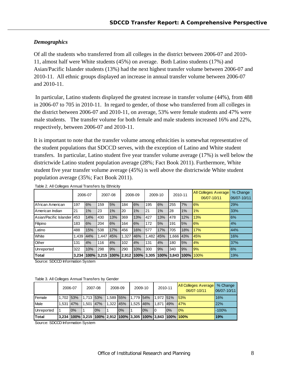## *Demographics*

Of all the students who transferred from all colleges in the district between 2006-07 and 2010- 11, almost half were White students (45%) on average. Both Latino students (17%) and Asian/Pacific Islander students (13%) had the next highest transfer volume between 2006-07 and 2010-11. All ethnic groups displayed an increase in annual transfer volume between 2006-07 and 2010-11.

 In particular, Latino students displayed the greatest increase in transfer volume (44%), from 488 in 2006-07 to 705 in 2010-11. In regard to gender, of those who transferred from all colleges in the district between 2006-07 and 2010-11, on average, 53% were female students and 47% were male students. The transfer volume for both female and male students increased 16% and 22%, respectively, between 2006-07 and 2010-11.

It is important to note that the transfer volume among ethnicities is somewhat representative of the student populations that SDCCD serves, with the exception of Latino and White student transfers. In particular, Latino student five year transfer volume average (17%) is well below the districtwide Latino student population average (28%; Fact Book 2011). Furthermore, White student five year transfer volume average (45%) is well above the districtwide White student population average (35%; Fact Book 2011).

|                        |       | 2006-07 |      | 2007-08                                      |       | 2008-09 |         | 2009-10 |            | 2010-11 | <b>All Colleges Average</b><br>06/07-10/11 | % Change<br>06/07-10/11 |
|------------------------|-------|---------|------|----------------------------------------------|-------|---------|---------|---------|------------|---------|--------------------------------------------|-------------------------|
| African American       | 197   | 6%      | 159  | 5%                                           | 184   | 6%      | 195     | 6%      | 255        | 7%      | 6%                                         | 29%                     |
| American Indian        | 21    | 1%      | 23   | 1%                                           | 20    | 1%      | 21      | 1%      | 28         | 1%      | 1%                                         | 33%                     |
| Asian/Pacific Islander | 453   | 14%     | 430  | 13%                                          | 369   | 13%     | 427     | 13%     | 478        | 12%     | 13%                                        | 6%                      |
| Filipino               | 183   | 6%      | 204  | 6%                                           | 164   | 6%      | 172     | 5%      | 191        | 5%      | 6%                                         | 4%                      |
| Latino                 | 488   | 15%     | 538  | 17%                                          | 456   | 16%     | 577     | 17%     | 705        | 18%     | 17%                                        | 44%                     |
| White                  | 1.439 | 44%     | .447 | 45%                                          | 1.327 | 46%     | 1.482 I | 45%     | 1.666      | 43%     | 45%                                        | 16%                     |
| Other                  | 131   | 4%      | 116  | 4%                                           | 102   | 4%      | 131     | 4%      | 180        | 5%      | 4%                                         | 37%                     |
| Unreported             | 322   | 10%     | 298  | 9%                                           | 290   | 10%     | 300     | 9%      | 340        | 9%      | 9%                                         | 6%                      |
| Total                  |       |         |      | 3,234  100%  3,215  100%  2,912  100%  3,305 |       |         |         |         | 100% 3.843 | 100%    | 100%                                       | 19%                     |

Table 2. All Colleges Annual Transfers by Ethnicity

Source: SDCCD Information System

| Table 3. All Colleges Annual Transfers by Gender |  |  |
|--------------------------------------------------|--|--|
|--------------------------------------------------|--|--|

|               | 2006-07   |    |                                                             | 2007-08 |           | 2008-09 | 2009-10   |    | 2010-11   |     | <b>All Colleges Average</b><br>06/07-10/11 | % Change<br>06/07-10/11 |
|---------------|-----------|----|-------------------------------------------------------------|---------|-----------|---------|-----------|----|-----------|-----|--------------------------------------------|-------------------------|
| <b>Female</b> | 1.702 53% |    | $1.713$ 53%                                                 |         | 1,589 55% |         | 1,779 54% |    | 1.972 51% |     | 153%                                       | 16%                     |
| Male          | 1.531 47% |    | 1.501 47%                                                   |         | 1.322 45% |         | 1.525 46% |    | ¶1,871 ⊾  | 49% | 147%                                       | 22%                     |
| Unreported    |           | 0% |                                                             | 0%      |           | 10%     |           | 0% | 10        | 0%  | 10%                                        | $-100%$                 |
| Total         |           |    | 3,234 100% 3,215 100% 2,912 100% 3,305 100% 3,843 100% 100% |         |           |         |           |    |           |     |                                            | 19%                     |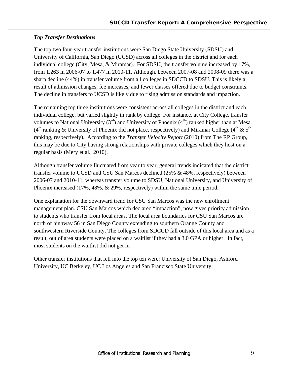## *Top Transfer Destinations*

The top two four-year transfer institutions were San Diego State University (SDSU) and University of California, San Diego (UCSD) across all colleges in the district and for each individual college (City, Mesa, & Miramar). For SDSU, the transfer volume increased by 17%, from 1,263 in 2006-07 to 1,477 in 2010-11. Although, between 2007-08 and 2008-09 there was a sharp decline (44%) in transfer volume from all colleges in SDCCD to SDSU. This is likely a result of admission changes, fee increases, and fewer classes offered due to budget constraints. The decline in transfers to UCSD is likely due to rising admission standards and impaction.

The remaining top three institutions were consistent across all colleges in the district and each individual college, but varied slightly in rank by college. For instance, at City College, transfer volumes to National University  $(3<sup>rd</sup>)$  and University of Phoenix  $(4<sup>th</sup>)$  ranked higher than at Mesa (4<sup>th</sup> ranking & University of Phoenix did not place, respectively) and Miramar College (4<sup>th</sup> & 5<sup>th</sup>) ranking, respectively). According to the *Transfer Velocity Report* (2010) from The RP Group, this may be due to City having strong relationships with private colleges which they host on a regular basis (Mery et al., 2010).

Although transfer volume fluctuated from year to year, general trends indicated that the district transfer volume to UCSD and CSU San Marcos declined (25% & 48%, respectively) between 2006-07 and 2010-11, whereas transfer volume to SDSU, National University, and University of Phoenix increased (17%, 48%, & 29%, respectively) within the same time period.

One explanation for the downward trend for CSU San Marcos was the new enrollment management plan. CSU San Marcos which declared "impaction", now gives priority admission to students who transfer from local areas. The local area boundaries for CSU San Marcos are north of highway 56 in San Diego County extending to southern Orange County and southwestern Riverside County. The colleges from SDCCD fall outside of this local area and as a result, out of area students were placed on a waitlist if they had a 3.0 GPA or higher. In fact, most students on the waitlist did not get in.

Other transfer institutions that fell into the top ten were: University of San Diego, Ashford University, UC Berkeley, UC Los Angeles and San Francisco State University.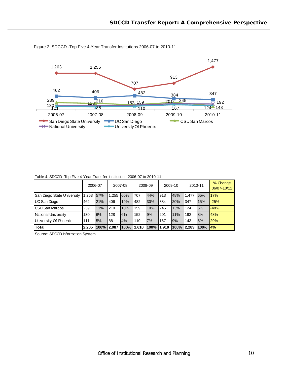

Figure 2. SDCCD -Top Five 4-Year Transfer Institutions 2006-07 to 2010-11

| TADIU T. ODOOD TIJD I IVU T TUAT HAHSIU IIISIIUIUIIS ZUUU UT IU ZUTU T I |         |            |         |            |         |      |         |      |         |               |                         |  |  |
|--------------------------------------------------------------------------|---------|------------|---------|------------|---------|------|---------|------|---------|---------------|-------------------------|--|--|
|                                                                          | 2006-07 |            | 2007-08 |            | 2008-09 |      | 2009-10 |      | 2010-11 |               | % Change<br>06/07-10/11 |  |  |
| San Diego State University                                               | 1.263   | 57%        |         | $.255$ 60% | 707     | 44%  | 913     | 48%  | 1.477   | 65%           | 17%                     |  |  |
| UC San Diego                                                             | 462     | 21%        | 406     | 19%        | 482     | 30%  | 384     | 20%  | 347     | 15%           | $-25%$                  |  |  |
| <b>CSU San Marcos</b>                                                    | 239     | 11%        | 210     | 10%        | 159     | 10%  | 245     | 13%  | 124     | 5%            | $-48%$                  |  |  |
| National University                                                      | 130     | 6%         | 128     | 6%         | 152     | 9%   | 201     | 11%  | 192     | 8%            | 48%                     |  |  |
| University Of Phoenix                                                    | 111     | 5%         | 88      | 4%         | 110     | 7%   | 167     | 9%   | 143     | 6%            | 29%                     |  |  |
| <b>Total</b>                                                             | 2.205   | 100% 2.087 |         | 100%       | 11.610  | 100% | 1.910   | 100% | 12.283  | $100\%$ $4\%$ |                         |  |  |

Table 4. SDCCD -Top Five 4-Year Transfer Institutions 2006-07 to 2010-11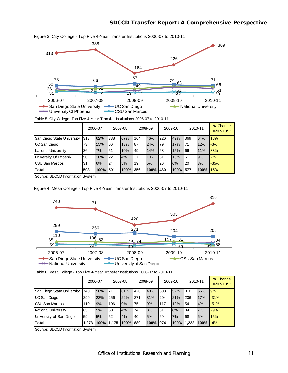

Table 5. City College -Top Five 4-Year Transfer Institutions 2006-07 to 2010-11

|                            |     | 2006-07 |     | 2007-08 |     | 2008-09 |     | 2009-10  |           | 2010-11 | % Change<br>06/07-10/11 |
|----------------------------|-----|---------|-----|---------|-----|---------|-----|----------|-----------|---------|-------------------------|
| San Diego State University | 313 | 62%     | 338 | 67%     | 164 | 46%     | 226 | 49%      | 369       | 64%     | 18%                     |
| <b>UC San Diego</b>        | 73  | 15%     | 66  | 13%     | 87  | 24%     | 79  | 17%      | 71        | 12%     | $-3%$                   |
| National University        | 36  | 7%      | 51  | 10%     | 49  | 14%     | 68  | 15%      | 166       | 11%     | 83%                     |
| University Of Phoenix      | 50  | 10%     | 22  | 4%      | 37  | 10%     | 61  | 13%      | 151       | 9%      | 2%                      |
| <b>CSU San Marcos</b>      | 31  | 6%      | 24  | 5%      | 19  | 5%      | 26  | 6%       | <b>20</b> | 3%      | $-35%$                  |
| <b>Total</b>               | 503 | 100%    | 501 | $100\%$ | 356 | 100%    | 460 | 100% 577 |           | 100%    | 15%                     |

Source: SDCCD Information System

Figure 4. Mesa College - Top Five 4-Year Transfer Institutions 2006-07 to 2010-11



|  |  |  |  | Table 6. Mesa College - Top Five 4-Year Transfer Institutions 2006-07 to 2010-11 |
|--|--|--|--|----------------------------------------------------------------------------------|
|  |  |  |  |                                                                                  |
|  |  |  |  |                                                                                  |

|                            | 2006-07 |      | 2007-08 |         | 2008-09 |      | 2009-10 |      | 2010-11 |      | % Change<br>06/07-10/11 |
|----------------------------|---------|------|---------|---------|---------|------|---------|------|---------|------|-------------------------|
| San Diego State University | 740     | 58%  | 711     | 61%     | 420     | 48%  | 503     | 52%  | 810     | 66%  | 9%                      |
| <b>UC San Diego</b>        | 299     | 23%  | 256     | 22%     | 271     | 31%  | 204     | 21%  | 206     | 17%  | $-31%$                  |
| <b>CSU San Marcos</b>      | 110     | 9%   | 106     | 9%      | 75      | 9%   | 117     | 12%  | 54      | 4%   | $-51%$                  |
| National University        | 65      | 5%   | 50      | 4%      | 74      | 8%   | 81      | 8%   | 184     | 7%   | 29%                     |
| University of San Diego    | 59      | 5%   | 52      | 4%      | 40      | 5%   | 69      | 7%   | 68      | 6%   | 15%                     |
| <b>Total</b>               | 1,273   | 100% | 1.175   | $100\%$ | 880     | 100% | 974     | 100% | 1.222   | 100% | $-4%$                   |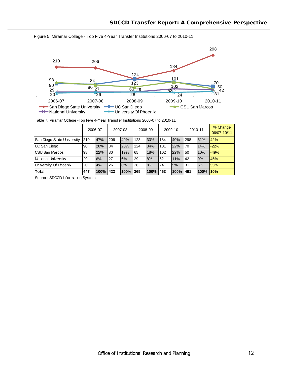

Figure 5. Miramar College - Top Five 4-Year Transfer Institutions 2006-07 to 2010-11

Table 7. Miramar College -Top Five 4-Year Transfer Institutions 2006-07 to 2010-11

|                            | 2006-07 |      |     | 2007-08 |     | 2008-09 |     | 2009-10  | 2010-11 |      | % Change<br>06/07-10/11 |
|----------------------------|---------|------|-----|---------|-----|---------|-----|----------|---------|------|-------------------------|
| San Diego State University | 210     | 47%  | 206 | 49%     | 123 | 33%     | 184 | 40%      | 298     | 61%  | 42%                     |
| UC San Diego               | 90      | 20%  | 84  | 20%     | 124 | 34%     | 101 | 22%      | 70      | 14%  | $-22%$                  |
| <b>ICSU San Marcos</b>     | 98      | 22%  | 80  | 19%     | 65  | 18%     | 102 | 22%      | 50      | 10%  | $-49%$                  |
| National University        | 29      | 6%   | 27  | 6%      | 29  | 8%      | 52  | 11%      | 42      | 9%   | 45%                     |
| University Of Phoenix      | 20      | 4%   | 26  | 6%      | 28  | 8%      | 24  | 5%       | 31      | 6%   | 55%                     |
| <b>Total</b>               | 447     | 100% | 423 | 100%    | 369 | 100%    | 463 | 100% 491 |         | 100% | 10%                     |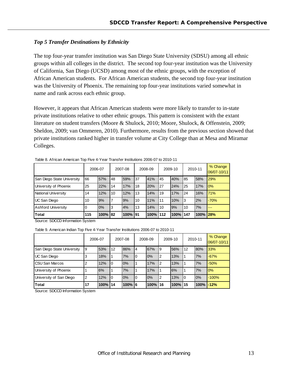## *Top 5 Transfer Destinations by Ethnicity*

The top four-year transfer institution was San Diego State University (SDSU) among all ethnic groups within all colleges in the district. The second top four-year institution was the University of California, San Diego (UCSD) among most of the ethnic groups, with the exception of African American students. For African American students, the second top four-year institution was the University of Phoenix. The remaining top four-year institutions varied somewhat in name and rank across each ethnic group.

However, it appears that African American students were more likely to transfer to in-state private institutions relative to other ethnic groups. This pattern is consistent with the extant literature on student transfers (Moore & Shulock, 2010; Moore, Shulock, & Offenstein, 2009; Sheldon, 2009; van Ommeren, 2010). Furthermore, results from the previous section showed that private institutions ranked higher in transfer volume at City College than at Mesa and Miramar Colleges.

|                            | 2006-07 |      | 2007-08 |      | 2008-09 |      | 2009-10 |      | 2010-11 |      | % Change<br>06/07-10/11 |
|----------------------------|---------|------|---------|------|---------|------|---------|------|---------|------|-------------------------|
| San Diego State University | 66      | 57%  | 48      | 59%  | 37      | 41%  | 45      | 40%  | 85      | 58%  | 29%                     |
| University of Phoenix      | 25      | 22%  | 14      | 17%  | 18      | 20%  | 27      | 24%  | 25      | 17%  | 0%                      |
| National University        | 14      | 12%  | 10      | 12%  | 13      | 14%  | 19      | 17%  | 24      | 16%  | 71%                     |
| UC San Diego               | 10      | 9%   |         | 9%   | 10      | 11%  | 11      | 10%  | 3       | 2%   | $-70%$                  |
| Ashford University         |         | 0%   | 3       | 4%   | 13      | 14%  | 10      | 9%   | 10      | 7%   | ---                     |
| <b>Total</b>               | 115     | 100% | 82      | 100% | 91      | 100% | 112     | 100% | 147     | 100% | 28%                     |

Table 8. African American Top Five 4-Year Transfer Institutions 2006-07 to 2010-11

Source: SDCCD Information System

Table 9. American Indian Top Five 4-Year Transfer Institutions 2006-07 to 2010-11

|                            | 2006-07 |      |    | 2007-08    |    | 2008-09  |                | 2009-10  |    | 2010-11 | % Change<br>06/07-10/11 |
|----------------------------|---------|------|----|------------|----|----------|----------------|----------|----|---------|-------------------------|
| San Diego State University | 9       | 53%  | 12 | 86%        | 14 | 67%      | 9              | 56%      | 12 | 80%     | 33%                     |
| UC San Diego               | 3       | 18%  |    | 7%         | 0  | 0%       | $\overline{2}$ | 13%      |    | 7%      | $-67%$                  |
| <b>ICSU San Marcos</b>     | 2       | 12%  | 0  | 0%         |    | 17%      | $\overline{2}$ | 13%      |    | 7%      | $-50%$                  |
| University of Phoenix      |         | 6%   |    | 7%         |    | 17%      |                | 6%       |    | 7%      | 0%                      |
| University of San Diego    | 2       | 12%  | 0  | 0%         | 10 | 0%       | $\overline{2}$ | 13%      | 10 | 0%      | $-100%$                 |
| <b>Total</b>               | 17      | 100% | 14 | $100\%$ 16 |    | 100% 116 |                | 100% 115 |    | 100%    | $-12%$                  |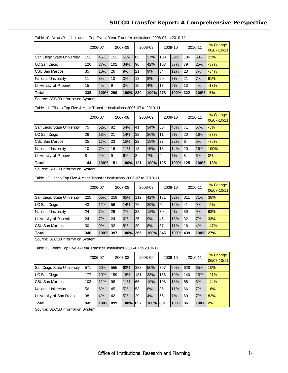|                            | 2006-07 |          |     | 2007-08 |     | 2008-09  |     | 2009-10 |      | 2010-11 | % Change<br>06/07-10/11 |
|----------------------------|---------|----------|-----|---------|-----|----------|-----|---------|------|---------|-------------------------|
| San Diego State University | 151     | 45%      | 152 | 51%     | 85  | 37%      | 108 | 39%     | 186  | 58%     | 23%                     |
| UC San Diego               | 126     | 37%      | 102 | 34%     | 96  | 42%      | 103 | 37%     | 79   | 25%     | $-37%$                  |
| <b>CSU San Marcos</b>      | 35      | 10%      | 26  | 9%      | 21  | 9%       | 34  | 12%     | 23   | 7%      | $-34%$                  |
| National University        | 11      | 3%       | 10  | 3%      | 18  | 8%       | 20  | 7%      | 21   | 7%      | 91%                     |
| University of Phoenix      | 15      | 4%       | 9   | 3%      | 10  | 4%       | 13  | 5%      | 13   | 4%      | $-13%$                  |
| <b>Total</b>               | 338     | 100% 299 |     | 100%    | 230 | 100% 278 |     | 100%    | 1322 | 100%    | $-5%$                   |

#### Table 10. Asian/Pacific Islander Top Five 4-Year Transfer Institutions 2006-07 to 2010-11

Source: SDCCD Information System

#### Table 11. Filipino Top Five 4-Year Transfer Institutions 2006-07 to 2010-11

|                            | 2006-07 |      |     | 2007-08 |     | 2008-09 |     | 2009-10 |             | 2010-11 | % Change<br>06/07-10/11 |
|----------------------------|---------|------|-----|---------|-----|---------|-----|---------|-------------|---------|-------------------------|
| San Diego State University | 75      | 52%  | 82  | 54%     | 41  | 34%     | 60  | 48%     | 71          | 57%     | $-5%$                   |
| UC San Diego               | 26      | 18%  | 21  | 14%     | 32  | 26%     | 11  | 9%      | 20          | 16%     | $-23%$                  |
| <b>ICSU San Marcos</b>     | 25      | 17%  | 23  | 15%     | 22  | 18%     | 27  | 22%     | 16          | 5%      | $-76%$                  |
| National University        | 10      | 7%   | 16  | 11%     | 18  | 15%     | 18  | 14%     | <b>20</b>   | 16%     | 100%                    |
| University of Phoenix      | 8       | 6%   | 9   | 6%      | 8   | 7%      | 9   | 7%      | l8          | 6%      | 0%                      |
| <b>Total</b>               | 144     | 100% | 151 | 100%    | 121 | 100%    | 125 | 100%    | <b>1125</b> | 100%    | $1 - 13%$               |

Source: SDCCD Information System

Table 12. Latino Top Five 4-Year Transfer Institutions 2006-07 to 2010-11

|                            | 2006-07 |          |     | 2007-08 |     | 2008-09  |     | 2009-10 |      | 2010-11         | % Change<br>06/07-10/11 |
|----------------------------|---------|----------|-----|---------|-----|----------|-----|---------|------|-----------------|-------------------------|
| San Diego State University | 225     | 65%      | 259 | 65%     | 112 | 42%      | 181 | 52%     | 311  | 71%             | 38%                     |
| UC San Diego               | 43      | 12%      | 56  | 14%     | 76  | 29%      | 52  | 15%     | 41   | 9%              | $-5%$                   |
| <b>National University</b> | 24      | 7%       | 26  | 7%      | 32  | 12%      | 30  | 9%      | 39   | 9%              | 63%                     |
| University of Phoenix      | 24      | 7%       | 24  | 6%      | 25  | 9%       | 45  | 13%     | 32   | 7%              | 33%                     |
| <b>CSU San Marcos</b>      | 30      | 9%       | 32  | 8%      | 20  | 8%       | 37  | 11%     | 16   | 4%              | $-47%$                  |
| <b>Total</b>               | 346     | 100% 397 |     | 100%    | 265 | 100% 345 |     | 100%    | 1439 | <b>100% 27%</b> |                         |

Source: SDCCD Information System

Table 13. White Top Five 4-Year Transfer Institutions 2006-07 to 2010-11

|                            | 2006-07 |      |     | 2007-08 |     | 2008-09 |     | 2009-10 |      | 2010-11        | % Change<br>06/07-10/11 |
|----------------------------|---------|------|-----|---------|-----|---------|-----|---------|------|----------------|-------------------------|
| San Diego State University | 571     | 60%  | 555 | 62%     | 328 | 50%     | 397 | 50%     | 628  | 65%            | 10%                     |
| UC San Diego               | 177     | 19%  | 159 | 18%     | 181 | 28%     | 156 | 19%     | 140  | 15%            | $-21%$                  |
| <b>CSU San Marcos</b>      | 103     | 11%  | 98  | 11%     | 66  | 10%     | 108 | 13%     | 58   | 6%             | $-44%$                  |
| National University        | 56      | 6%   | 45  | 5%      | 53  | 8%      | 85  | 11%     | 66   | 7%             | 18%                     |
| University of San Diego    | 38      | 4%   | 42  | 5%      | 29  | 4%      | 55  | 7%      | 69   | 7%             | 82%                     |
| <b>Total</b>               | 945     | 100% | 899 | 100%    | 657 | 100%    | 801 | 100%    | 1961 | <b>100% 2%</b> |                         |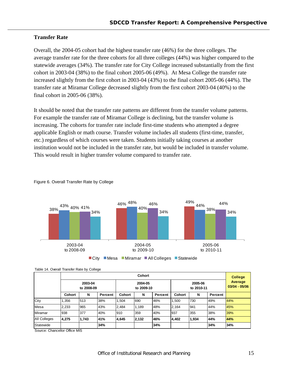## **Transfer Rate**

Overall, the 2004-05 cohort had the highest transfer rate (46%) for the three colleges. The average transfer rate for the three cohorts for all three colleges (44%) was higher compared to the statewide averages (34%). The transfer rate for City College increased substantially from the first cohort in 2003-04 (38%) to the final cohort 2005-06 (49%). At Mesa College the transfer rate increased slightly from the first cohort in 2003-04 (43%) to the final cohort 2005-06 (44%). The transfer rate at Miramar College decreased slightly from the first cohort 2003-04 (40%) to the final cohort in 2005-06 (38%).

It should be noted that the transfer rate patterns are different from the transfer volume patterns. For example the transfer rate of Miramar College is declining, but the transfer volume is increasing. The cohorts for transfer rate include first-time students who attempted a degree applicable English or math course. Transfer volume includes all students (first-time, transfer, etc.) regardless of which courses were taken. Students initially taking courses at another institution would not be included in the transfer rate, but would be included in transfer volume. This would result in higher transfer volume compared to transfer rate.



Figure 6. Overall Transfer Rate by College

Table 14. Overall Transfer Rate by College

|              | Cohort        |                       |         |        |                       |         |                       |       |         |     |  |  |  |  |
|--------------|---------------|-----------------------|---------|--------|-----------------------|---------|-----------------------|-------|---------|-----|--|--|--|--|
|              |               | 2003-04<br>to 2008-09 |         |        | 2004-05<br>to 2009-10 |         | 2005-06<br>to 2010-11 |       |         |     |  |  |  |  |
|              | <b>Cohort</b> | N                     | Percent | Cohort | N                     | Percent | <b>Cohort</b>         | N     | Percent |     |  |  |  |  |
| City         | 1,356         | 513                   | 38%     | 1.504  | 690                   | 46%     | 1.500                 | 730   | 49%     | 44% |  |  |  |  |
| Mesa         | 2,233         | 965                   | 43%     | 2,484  | 1,189                 | 48%     | 2,164                 | 1941  | 44%     | 45% |  |  |  |  |
| Miramar      | 938           | 377                   | 40%     | 910    | 359                   | 40%     | 937                   | 355   | 38%     | 39% |  |  |  |  |
| All Colleges | 4,275         | 1,743                 | l41%    | 4,645  | 2,132                 | 146%    | 4,402                 | 1,934 | 44%     | 44% |  |  |  |  |
| Statewide    |               |                       | 34%     |        |                       | 34%     |                       |       | 34%     | 34% |  |  |  |  |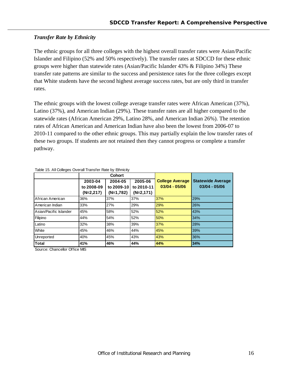## *Transfer Rate by Ethnicity*

The ethnic groups for all three colleges with the highest overall transfer rates were Asian/Pacific Islander and Filipino (52% and 50% respectively). The transfer rates at SDCCD for these ethnic groups were higher than statewide rates (Asian/Pacific Islander 43% & Filipino 34%) These transfer rate patterns are similar to the success and persistence rates for the three colleges except that White students have the second highest average success rates, but are only third in transfer rates.

The ethnic groups with the lowest college average transfer rates were African American (37%), Latino (37%), and American Indian (29%). These transfer rates are all higher compared to the statewide rates (African American 29%, Latino 28%, and American Indian 26%). The retention rates of African American and American Indian have also been the lowest from 2006-07 to 2010-11 compared to the other ethnic groups. This may partially explain the low transfer rates of these two groups. If students are not retained then they cannot progress or complete a transfer pathway.

|                        |             | Cohort             |             |                        |                          |
|------------------------|-------------|--------------------|-------------|------------------------|--------------------------|
|                        | 2003-04     | 2005-06<br>2004-05 |             | <b>College Average</b> | <b>Statewide Average</b> |
|                        | to 2008-09  | to 2009-10         | to 2010-11  | $03/04 - 05/06$        | $03/04 - 05/06$          |
|                        | $(N=2,217)$ | $(N=1,782)$        | $(N=2,171)$ |                        |                          |
| African American       | 36%         | 37%                | 37%         | 37%                    | 29%                      |
| American Indian        | 33%         | 27%                | 29%         | 29%                    | 26%                      |
| Asian/Pacific Islander | 45%         | 58%                | 52%         | 52%                    | 43%                      |
| Filipino               | 44%         | 54%                | 52%         | 50%                    | 34%                      |
| Latino                 | 32%         | 38%                | 39%         | 37%                    | 28%                      |
| <b>White</b>           | 45%         | 46%                | 44%         | 45%                    | 39%                      |
| Unreported             | 40%         | 45%                | 43%         | 43%                    | 36%                      |
| <b>Total</b>           | 41%         | 46%                | 44%         | 44%                    | 34%                      |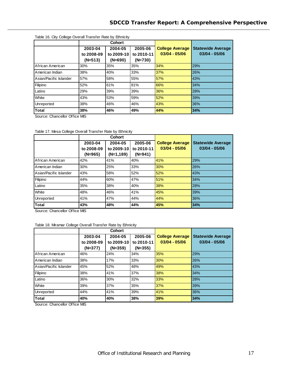| Table 16. City College Overall Transfer Rate by Ethnicity |            |               |            |                        |                          |  |  |  |  |  |
|-----------------------------------------------------------|------------|---------------|------------|------------------------|--------------------------|--|--|--|--|--|
|                                                           |            | <b>Cohort</b> |            |                        |                          |  |  |  |  |  |
|                                                           | 2003-04    | 2004-05       | 2005-06    | <b>College Average</b> | <b>Statewide Average</b> |  |  |  |  |  |
|                                                           | to 2008-09 | to 2009-10    | to 2010-11 | $03/04 - 05/06$        | $03/04 - 05/06$          |  |  |  |  |  |
|                                                           | $(N=513)$  | $(N=690)$     | $(N=730)$  |                        |                          |  |  |  |  |  |
| African American                                          | 30%        | 35%           | 35%        | 34%                    | 29%                      |  |  |  |  |  |
| American Indian                                           | 38%        | 40%           | 33%        | 37%                    | 26%                      |  |  |  |  |  |
| Asian/Pacific Islander                                    | 57%        | 58%           | 55%        | 57%                    | 43%                      |  |  |  |  |  |
| Filipino                                                  | 52%        | 61%           | 81%        | 66%                    | 34%                      |  |  |  |  |  |
| Latino                                                    | 29%        | 39%           | 39%        | 36%                    | 28%                      |  |  |  |  |  |
| <b>White</b>                                              | 43%        | 53%           | 59%        | 52%                    | 39%                      |  |  |  |  |  |
| Unreported                                                | 38%        | 46%           | 46%        | 43%                    | 36%                      |  |  |  |  |  |
| <b>ITotal</b>                                             | 38%        | 46%           | 49%        | 44%                    | 34%                      |  |  |  |  |  |

Source: Chancellor Office MIS

| Table 17. Mesa College Overall Transfer Rate by Ethnicity |  |
|-----------------------------------------------------------|--|
|-----------------------------------------------------------|--|

|                        |            | Cohort      |            |                        |                          |
|------------------------|------------|-------------|------------|------------------------|--------------------------|
|                        | 2003-04    | 2004-05     | 2005-06    | <b>College Average</b> | <b>Statewide Average</b> |
|                        | to 2008-09 | to 2009-10  | to 2010-11 | $03/04 - 05/06$        | $03/04 - 05/06$          |
|                        | $(N=965)$  | $(N=1,189)$ | $(N=941)$  |                        |                          |
| African American       | 42%        | 41%         | 40%        | 41%                    | 29%                      |
| American Indian        | 30%        | 25%         | 33%        | 30%                    | 26%                      |
| Asian/Pacific Islander | 43%        | 58%         | 52%        | 52%                    | 43%                      |
| Filipino               | 44%        | 60%         | 47%        | 51%                    | 34%                      |
| Latino                 | 35%        | 38%         | 40%        | 38%                    | 28%                      |
| <b>White</b>           | 48%        | 46%         | 41%        | 45%                    | 39%                      |
| Unreported             | 41%        | 47%         | 44%        | 44%                    | 36%                      |
| Total                  | 43%        | 48%         | 44%        | 45%                    | 34%                      |

Source: Chancellor Office MIS

#### Table 18. Miramar College Overall Transfer Rate by Ethnicity

|                        |            | Cohort     |            |                        |                          |
|------------------------|------------|------------|------------|------------------------|--------------------------|
|                        | 2003-04    | 2004-05    | 2005-06    | <b>College Average</b> | <b>Statewide Average</b> |
|                        | to 2008-09 | to 2009-10 | to 2010-11 | $03/04 - 05/06$        | 03/04 - 05/06            |
|                        | $(N=377)$  | $(N=359)$  | $(N=355)$  |                        |                          |
| African American       | 46%        | 24%        | 34%        | 35%                    | 29%                      |
| American Indian        | 38%        | 17%        | 33%        | 30%                    | 26%                      |
| Asian/Pacific Islander | 45%        | 52%        | 48%        | 49%                    | 43%                      |
| Filipino               | 38%        | 41%        | 37%        | 38%                    | 34%                      |
| Latino                 | 36%        | 30%        | 32%        | 33%                    | 28%                      |
| White                  | 39%        | 37%        | 35%        | 37%                    | 39%                      |
| Unreported             | 44%        | 41%        | 39%        | 41%                    | 36%                      |
| <b>Total</b>           | 40%        | 40%        | 38%        | 39%                    | 34%                      |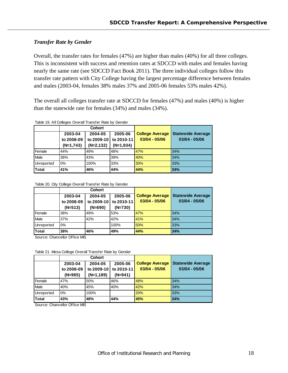## *Transfer Rate by Gender*

Overall, the transfer rates for females (47%) are higher than males (40%) for all three colleges. This is inconsistent with success and retention rates at SDCCD with males and females having nearly the same rate (see SDCCD Fact Book 2011). The three individual colleges follow this transfer rate pattern with City College having the largest percentage difference between females and males (2003-04, females 38% males 37% and 2005-06 females 53% males 42%).

The overall all colleges transfer rate at SDCCD for females (47%) and males (40%) is higher than the statewide rate for females (34%) and males (34%).

Table 19. All Colleges Overall Transfer Rate by Gender

|            |             | <b>Cohort</b> |             |                        |                          |
|------------|-------------|---------------|-------------|------------------------|--------------------------|
|            | 2003-04     | 2004-05       | 2005-06     | <b>College Average</b> | <b>Statewide Average</b> |
|            | to 2008-09  | to 2009-10    | to 2010-11  | $03/04 - 05/06$        | $03/04 - 05/06$          |
|            | $(N=1,743)$ | $(N=2, 132)$  | $(N=1,934)$ |                        |                          |
| Female     | 44%         | 49%           | 48%         | 47%                    | 34%                      |
| Male       | 38%         | 43%           | 39%         | 40%                    | 34%                      |
| Unreported | 0%          | 100%          | 33%         | 30%                    | 33%                      |
| Total      | 41%         | 46%           | 44%         | 44%                    | 34%                      |

Table 20. City College Overall Transfer Rate by Gender

|            |            | <b>Cohort</b> |            |                        |                                             |  |
|------------|------------|---------------|------------|------------------------|---------------------------------------------|--|
|            | 2003-04    | 2004-05       | 2005-06    | <b>College Average</b> | <b>Statewide Average</b><br>$03/04 - 05/06$ |  |
|            | to 2008-09 | to 2009-10    | to 2010-11 | $03/04 - 05/06$        |                                             |  |
|            | $(N=513)$  | (N=690)       | $(N=730)$  |                        |                                             |  |
| Female     | 38%        | 49%           | 53%        | 47%                    | 34%                                         |  |
| Male       | 37%        | 42%           | 42%        | 41%                    | 34%                                         |  |
| Unreported | 0%         |               | 100%       | 50%                    | 33%                                         |  |
| Total      | 38%        | 46%           | 49%        | 44%                    | 34%                                         |  |

Source: Chancellor Office MIS

Table 21. Mesa College Overall Transfer Rate by Gender

|            |                               | <b>Cohort</b> |                        |                          |                 |
|------------|-------------------------------|---------------|------------------------|--------------------------|-----------------|
|            | 2004-05<br>2005-06<br>2003-04 |               | <b>College Average</b> | <b>Statewide Average</b> |                 |
|            | to 2008-09                    | to 2009-10    | to 2010-11             | $03/04 - 05/06$          | $03/04 - 05/06$ |
|            | $(N=965)$                     | $(N=1,189)$   | $(N=941)$              |                          |                 |
| Female     | 47%                           | 50%           | 46%                    | 48%                      | 34%             |
| Male       | 40%                           | 45%           | 40%                    | 42%                      | 34%             |
| Unreported | 0%                            | 100%          |                        | 20%                      | 33%             |
| Total      | 43%                           | 48%           | 44%                    | 45%                      | 34%             |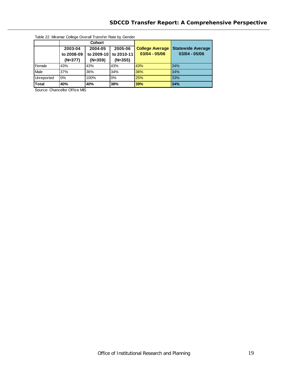| Table 22. Miramar College Overall Transfer Rate by Gender |            |                    |            |                        |                          |  |  |  |
|-----------------------------------------------------------|------------|--------------------|------------|------------------------|--------------------------|--|--|--|
|                                                           |            | <b>Cohort</b>      |            |                        |                          |  |  |  |
|                                                           | 2003-04    | 2004-05<br>2005-06 |            | <b>College Average</b> | <b>Statewide Average</b> |  |  |  |
|                                                           | to 2008-09 | to 2009-10         | to 2010-11 | $03/04 - 05/06$        | 03/04 - 05/06            |  |  |  |
|                                                           | (N=377)    | $(N=359)$          | $(N=355)$  |                        |                          |  |  |  |
| Female                                                    | 43%        | 43%                | 43%        | 43%                    | 34%                      |  |  |  |
| Male                                                      | 37%        | 36%                | 34%        | 36%                    | 34%                      |  |  |  |
| Unreported                                                | 0%         | 100%               | 0%         | 25%                    | 33%                      |  |  |  |
| <b>Total</b>                                              | 40%        | 40%                | 38%        | 39%                    | 34%                      |  |  |  |

Table 22. Miramar College Overall Transfer Rate by Gender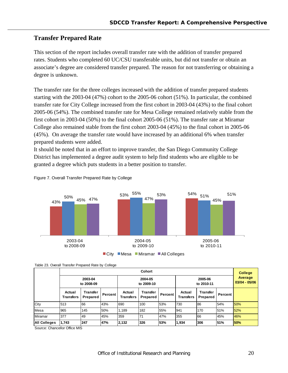## **Transfer Prepared Rate**

This section of the report includes overall transfer rate with the addition of transfer prepared rates. Students who completed 60 UC/CSU transferable units, but did not transfer or obtain an associate's degree are considered transfer prepared. The reason for not transferring or obtaining a degree is unknown.

The transfer rate for the three colleges increased with the addition of transfer prepared students starting with the 2003-04 (47%) cohort to the 2005-06 cohort (51%). In particular, the combined transfer rate for City College increased from the first cohort in 2003-04 (43%) to the final cohort 2005-06 (54%). The combined transfer rate for Mesa College remained relatively stable from the first cohort in 2003-04 (50%) to the final cohort 2005-06 (51%). The transfer rate at Miramar College also remained stable from the first cohort 2003-04 (45%) to the final cohort in 2005-06 (45%). On average the transfer rate would have increased by an additional 6% when transfer prepared students were added.

It should be noted that in an effort to improve transfer, the San Diego Community College District has implemented a degree audit system to help find students who are eligible to be granted a degree which puts students in a better position to transfer.





| Table 23. Overall Transfer Prepared Rate by College |  |  |  |
|-----------------------------------------------------|--|--|--|
|                                                     |  |  |  |

|                     | <b>Cohort</b>              |                      |                       |                            |                             |         |                            | <b>College</b>       |         |     |
|---------------------|----------------------------|----------------------|-----------------------|----------------------------|-----------------------------|---------|----------------------------|----------------------|---------|-----|
|                     | 2003-04<br>to 2008-09      |                      | 2004-05<br>to 2009-10 |                            | 2005-06<br>to 2010-11       |         | Average<br>$03/04 - 05/06$ |                      |         |     |
|                     | Actual<br><b>Transfers</b> | Transter<br>Prepared | Percent               | Actual<br><b>Transfers</b> | <b>Transfer</b><br>Prepared | Percent | Actual<br><b>Transfers</b> | Transter<br>Prepared | Percent |     |
| City                | 513                        | 166                  | 43%                   | 690                        | 100                         | 53%     | 730                        | 86                   | 54%     | 50% |
| Mesa                | 965                        | 145                  | 50%                   | 1.189                      | 182                         | 55%     | 941                        | 170                  | 51%     | 52% |
| Miramar             | 377                        | 49                   | 45%                   | 359                        | 71                          | 47%     | 355                        | 66                   | 45%     | 46% |
| <b>All Colleges</b> | 1,743                      | 247                  | 47%                   | 2,132                      | 326                         | 53%     | 1,934                      | 306                  | 51%     | 50% |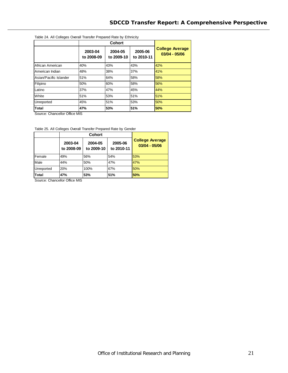| Table 24. All Colleges Overall Transfer Prepared Rate by Ethnicity |                       |                       |                       |                                           |
|--------------------------------------------------------------------|-----------------------|-----------------------|-----------------------|-------------------------------------------|
|                                                                    |                       | <b>Cohort</b>         |                       |                                           |
|                                                                    | 2003-04<br>to 2008-09 | 2004-05<br>to 2009-10 | 2005-06<br>to 2010-11 | <b>College Average</b><br>$03/04 - 05/06$ |
| African American                                                   | 40%                   | 43%                   | 43%                   | 42%                                       |
| <b>American Indian</b>                                             | 48%                   | 38%                   | 37%                   | 41%                                       |
| Asian/Pacific Islander                                             | 51%                   | 64%                   | 58%                   | 58%                                       |
| Filipino                                                           | 50%                   | 60%                   | 58%                   | 56%                                       |
| Latino                                                             | 37%                   | 47%                   | 45%                   | 44%                                       |
| <b>White</b>                                                       | 51%                   | 53%                   | 51%                   | 51%                                       |
| Unreported                                                         | 45%                   | 51%                   | 53%                   | 50%                                       |
| Total                                                              | 47%                   | 53%                   | 51%                   | 50%                                       |

Source: Chancellor Office MIS

Table 25. All Colleges Overall Transfer Prepared Rate by Gender

|            | 2003-04<br>to 2008-09 | 2004-05<br>to 2009-10 | 2005-06<br>to 2010-11 | <b>College Average</b><br>$03/04 - 05/06$ |
|------------|-----------------------|-----------------------|-----------------------|-------------------------------------------|
| Female     | 49%                   | 56%                   | 54%                   | 53%                                       |
| Male       | 44%                   | 50%                   | 47%                   | 47%                                       |
| Unreported | 20%                   | 100%                  | 67%                   | 50%                                       |
| Total      | 47%                   | 53%                   | 51%                   | 50%                                       |